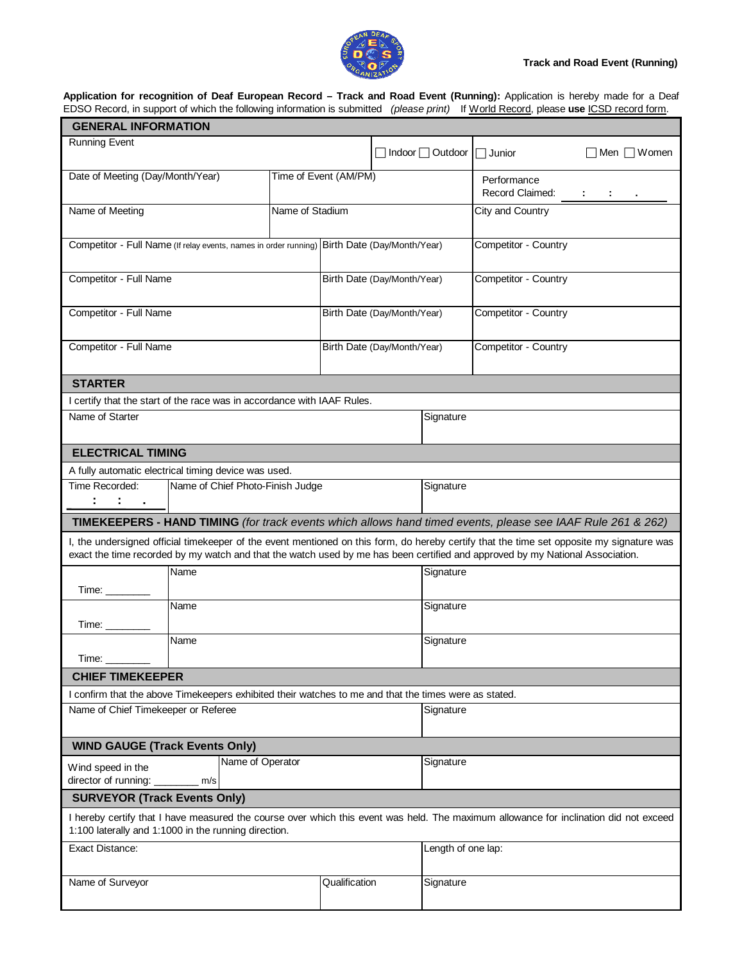## **Track and Road Event (Running)**



**Application for recognition of Deaf European Record – Track and Road Event (Running):** Application is hereby made for a Deaf EDSO Record, in support of which the following information is submitted *(please print)* If World Record, please **use** ICSD record form.

| <b>GENERAL INFORMATION</b>                                                                                                                                                                                                                                                                                                                                                                |           |                       |                             |                  |                      |                                |                  |  |  |
|-------------------------------------------------------------------------------------------------------------------------------------------------------------------------------------------------------------------------------------------------------------------------------------------------------------------------------------------------------------------------------------------|-----------|-----------------------|-----------------------------|------------------|----------------------|--------------------------------|------------------|--|--|
| <b>Running Event</b>                                                                                                                                                                                                                                                                                                                                                                      |           |                       | □ Indoor □ Outdoor          |                  |                      | $\Box$ Junior                  | Men $\Box$ Women |  |  |
| Date of Meeting (Day/Month/Year)                                                                                                                                                                                                                                                                                                                                                          |           | Time of Event (AM/PM) |                             |                  |                      | Performance<br>Record Claimed: | de la contra     |  |  |
| Name of Stadium<br>Name of Meeting                                                                                                                                                                                                                                                                                                                                                        |           |                       |                             | City and Country |                      |                                |                  |  |  |
| Competitor - Full Name (If relay events, names in order running) Birth Date (Day/Month/Year)                                                                                                                                                                                                                                                                                              |           |                       |                             |                  | Competitor - Country |                                |                  |  |  |
| Competitor - Full Name                                                                                                                                                                                                                                                                                                                                                                    |           |                       | Birth Date (Day/Month/Year) |                  | Competitor - Country |                                |                  |  |  |
| Competitor - Full Name                                                                                                                                                                                                                                                                                                                                                                    |           |                       | Birth Date (Day/Month/Year) |                  | Competitor - Country |                                |                  |  |  |
| Competitor - Full Name                                                                                                                                                                                                                                                                                                                                                                    |           |                       | Birth Date (Day/Month/Year) |                  | Competitor - Country |                                |                  |  |  |
| <b>STARTER</b>                                                                                                                                                                                                                                                                                                                                                                            |           |                       |                             |                  |                      |                                |                  |  |  |
| I certify that the start of the race was in accordance with IAAF Rules.                                                                                                                                                                                                                                                                                                                   |           |                       |                             |                  |                      |                                |                  |  |  |
| Name of Starter                                                                                                                                                                                                                                                                                                                                                                           | Signature |                       |                             |                  |                      |                                |                  |  |  |
| <b>ELECTRICAL TIMING</b>                                                                                                                                                                                                                                                                                                                                                                  |           |                       |                             |                  |                      |                                |                  |  |  |
| A fully automatic electrical timing device was used.                                                                                                                                                                                                                                                                                                                                      |           |                       |                             |                  |                      |                                |                  |  |  |
| Time Recorded:<br>Name of Chief Photo-Finish Judge                                                                                                                                                                                                                                                                                                                                        | Signature |                       |                             |                  |                      |                                |                  |  |  |
|                                                                                                                                                                                                                                                                                                                                                                                           |           |                       |                             |                  |                      |                                |                  |  |  |
| TIMEKEEPERS - HAND TIMING (for track events which allows hand timed events, please see IAAF Rule 261 & 262)<br>I, the undersigned official timekeeper of the event mentioned on this form, do hereby certify that the time set opposite my signature was<br>exact the time recorded by my watch and that the watch used by me has been certified and approved by my National Association. |           |                       |                             |                  |                      |                                |                  |  |  |
| Time: $\_\_$                                                                                                                                                                                                                                                                                                                                                                              | Name      | Signature             |                             |                  |                      |                                |                  |  |  |
| Time: $\_\_$                                                                                                                                                                                                                                                                                                                                                                              | Name      |                       |                             | Signature        |                      |                                |                  |  |  |
|                                                                                                                                                                                                                                                                                                                                                                                           | Name      |                       | Signature                   |                  |                      |                                |                  |  |  |
| Time:                                                                                                                                                                                                                                                                                                                                                                                     |           |                       |                             |                  |                      |                                |                  |  |  |
| <b>CHIEF TIMEKEEPER</b>                                                                                                                                                                                                                                                                                                                                                                   |           |                       |                             |                  |                      |                                |                  |  |  |
| I confirm that the above Timekeepers exhibited their watches to me and that the times were as stated.<br>Name of Chief Timekeeper or Referee                                                                                                                                                                                                                                              |           |                       | Signature                   |                  |                      |                                |                  |  |  |
| <b>WIND GAUGE (Track Events Only)</b>                                                                                                                                                                                                                                                                                                                                                     |           |                       |                             |                  |                      |                                |                  |  |  |
| Name of Operator<br>Wind speed in the<br>director of running:<br>m/s                                                                                                                                                                                                                                                                                                                      |           |                       |                             | Signature        |                      |                                |                  |  |  |
| <b>SURVEYOR (Track Events Only)</b>                                                                                                                                                                                                                                                                                                                                                       |           |                       |                             |                  |                      |                                |                  |  |  |
| I hereby certify that I have measured the course over which this event was held. The maximum allowance for inclination did not exceed<br>1:100 laterally and 1:1000 in the running direction.                                                                                                                                                                                             |           |                       |                             |                  |                      |                                |                  |  |  |
| <b>Exact Distance:</b>                                                                                                                                                                                                                                                                                                                                                                    |           |                       |                             |                  | Length of one lap:   |                                |                  |  |  |
| Name of Surveyor                                                                                                                                                                                                                                                                                                                                                                          |           | Qualification         |                             | Signature        |                      |                                |                  |  |  |